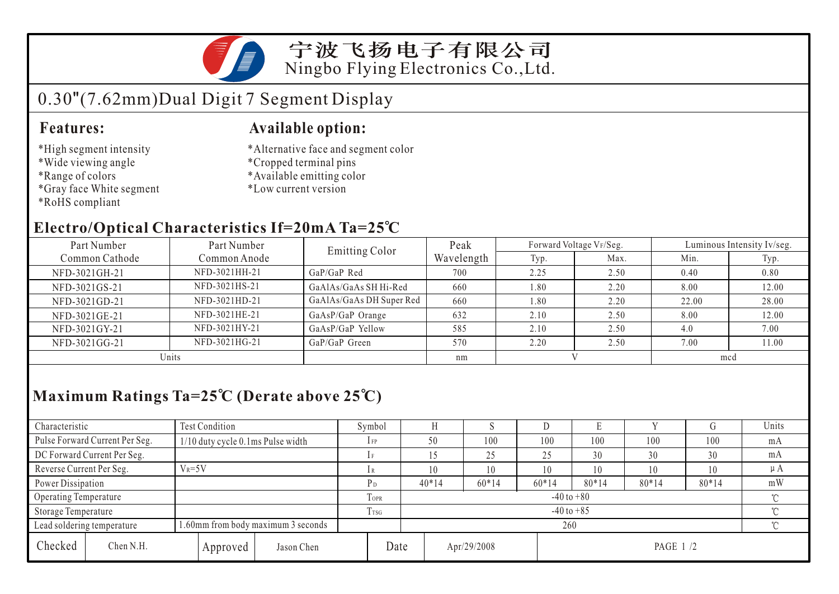

### 宁波飞扬电子有限公司 Ningbo Flying Electronics Co.,Ltd.

# 0.30"(7.62mm)Dual Digit 7 Segment Display

#### **Features:**

- \*High segment intensity
- \*Wide viewing angle
- \*Range of colors
- \*Gray face White segment
- \*RoHS compliant

#### **Available option:**

- \*Alternative face and segment color
- \*Cropped terminal pins
- \*Available emitting color
- \*Low current version

### **Electro/Optical Characteristics If=20mA Ta=25 C**

| Part Number    | Part Number   | <b>Emitting Color</b>    | Peak       | Forward Voltage VF/Seg. |      | Luminous Intensity Iv/seg. |       |  |
|----------------|---------------|--------------------------|------------|-------------------------|------|----------------------------|-------|--|
| Common Cathode | Common Anode  |                          | Wavelength | Typ.                    | Max. | Min.                       | Typ.  |  |
| NFD-3021GH-21  | NFD-3021HH-21 | GaP/GaP Red              | 700        | 2.25                    | 2.50 | 0.40                       | 0.80  |  |
| NFD-3021GS-21  | NFD-3021HS-21 | GaAlAs/GaAs SH Hi-Red    | 660        | 1.80                    | 2.20 | 8.00                       | 12.00 |  |
| NFD-3021GD-21  | NFD-3021HD-21 | GaAlAs/GaAs DH Super Red | 660        | 1.80                    | 2.20 | 22.00                      | 28.00 |  |
| NFD-3021GE-21  | NFD-3021HE-21 | GaAsP/GaP Orange         | 632        | 2.10                    | 2.50 | 8.00                       | 12.00 |  |
| NFD-3021GY-21  | NFD-3021HY-21 | GaAsP/GaP Yellow         | 585        | 2.10                    | 2.50 | 4.0                        | 7.00  |  |
| NFD-3021GG-21  | NFD-3021HG-21 | GaP/GaP Green            | 570        | 2.20                    | 2.50 | 7.00                       | 11.00 |  |
| Units          |               |                          | nm         |                         |      | mcd                        |       |  |

## **Maximum Ratings Ta=25 C (Derate above 25 C)**

| Characteristic             |                                | <b>Test Condition</b>                     |            |                  | Symbol                     |             |         | ν       |          |         |          | Units   |  |
|----------------------------|--------------------------------|-------------------------------------------|------------|------------------|----------------------------|-------------|---------|---------|----------|---------|----------|---------|--|
|                            | Pulse Forward Current Per Seg. | 1/10 duty cycle 0.1ms Pulse width         |            |                  | $1$ FP                     | 50          | 100     | 100     | 100      | 100     | 100      | mA      |  |
|                            | DC Forward Current Per Seg.    |                                           |            |                  | 1F                         |             | 25      | 25      | 30       | 30      | 30       | mA      |  |
| Reverse Current Per Seg.   |                                | $V_R = 5V$                                |            |                  |                            | 10          | 10      | 10      | 10       | 10      | 10       | $\mu A$ |  |
| Power Dissipation          |                                |                                           |            |                  | $P_D$                      | $40*14$     | $60*14$ | $60*14$ | $80*14$  | $80*14$ | $80*14$  | mW      |  |
| Operating Temperature      |                                |                                           |            | <b>TOPR</b>      | $-40$ to $+80$             |             |         |         |          |         | $\gamma$ |         |  |
| Storage Temperature        |                                |                                           |            | T <sub>TSG</sub> | $-40$ to $+85$<br>$\gamma$ |             |         |         |          |         |          |         |  |
| Lead soldering temperature |                                | 1.60mm from body maximum 3 seconds<br>260 |            |                  |                            |             |         |         | $\gamma$ |         |          |         |  |
| Checked                    | Chen N.H.                      | Approved                                  | Jason Chen | Date             |                            | Apr/29/2008 |         |         | PAGE 1/2 |         |          |         |  |